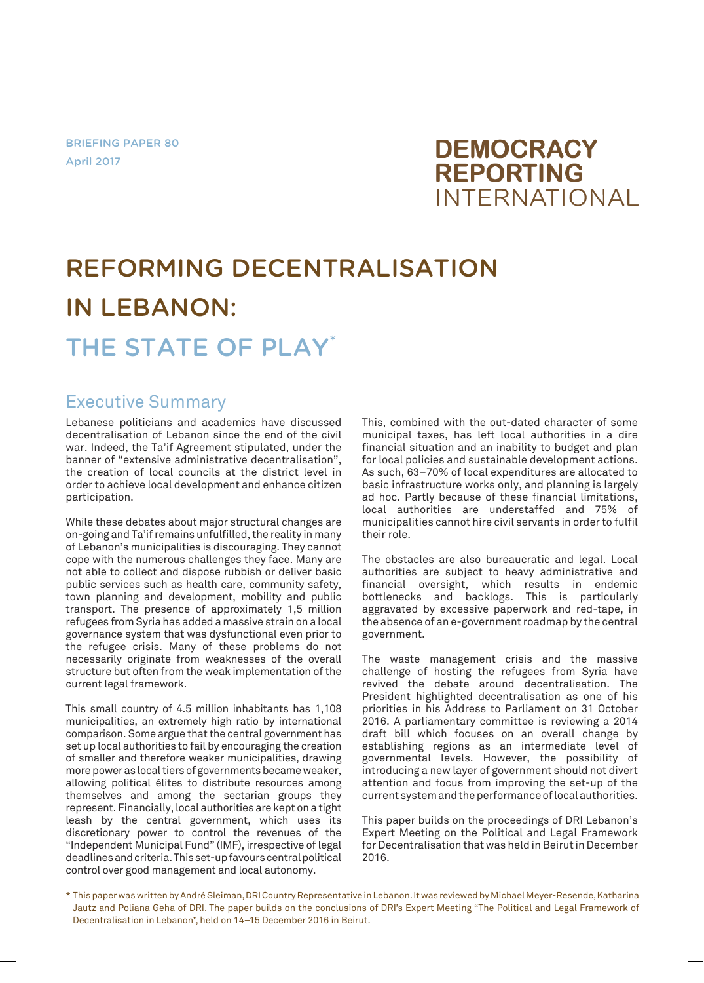BRIEFING PAPER 80 April 2017

## **DEMOCRACY REPORTING INTERNATIONAL**

# REFORMING DECENTRALISATION IN LEBANON: THE STATE OF PLAY\*

## Executive Summary

Lebanese politicians and academics have discussed decentralisation of Lebanon since the end of the civil war. Indeed, the Ta'if Agreement stipulated, under the banner of "extensive administrative decentralisation", the creation of local councils at the district level in order to achieve local development and enhance citizen participation.

While these debates about major structural changes are on-going and Ta'if remains unfulfilled, the reality in many of Lebanon's municipalities is discouraging. They cannot cope with the numerous challenges they face. Many are not able to collect and dispose rubbish or deliver basic public services such as health care, community safety, town planning and development, mobility and public transport. The presence of approximately 1,5 million refugees from Syria has added a massive strain on a local governance system that was dysfunctional even prior to the refugee crisis. Many of these problems do not necessarily originate from weaknesses of the overall structure but often from the weak implementation of the current legal framework.

This small country of 4.5 million inhabitants has 1,108 municipalities, an extremely high ratio by international comparison. Some argue that the central government has set up local authorities to fail by encouraging the creation of smaller and therefore weaker municipalities, drawing more power as local tiers of governments became weaker, allowing political élites to distribute resources among themselves and among the sectarian groups they represent. Financially, local authorities are kept on a tight leash by the central government, which uses its discretionary power to control the revenues of the "Independent Municipal Fund" (IMF), irrespective of legal deadlines and criteria. This set-up favours central political control over good management and local autonomy.

This, combined with the out-dated character of some municipal taxes, has left local authorities in a dire financial situation and an inability to budget and plan for local policies and sustainable development actions. As such, 63–70% of local expenditures are allocated to basic infrastructure works only, and planning is largely ad hoc. Partly because of these financial limitations, local authorities are understaffed and 75% of municipalities cannot hire civil servants in order to fulfil their role.

The obstacles are also bureaucratic and legal. Local authorities are subject to heavy administrative and financial oversight, which results in endemic bottlenecks and backlogs. This is particularly aggravated by excessive paperwork and red-tape, in the absence of an e-government roadmap by the central government.

The waste management crisis and the massive challenge of hosting the refugees from Syria have revived the debate around decentralisation. The President highlighted decentralisation as one of his priorities in his Address to Parliament on 31 October 2016. A parliamentary committee is reviewing a 2014 draft bill which focuses on an overall change by establishing regions as an intermediate level of governmental levels. However, the possibility of introducing a new layer of government should not divert attention and focus from improving the set-up of the current system and the performance of local authorities.

This paper builds on the proceedings of DRI Lebanon's Expert Meeting on the Political and Legal Framework for Decentralisation that was held in Beirut in December 2016.

<sup>\*</sup> This paper was written by André Sleiman, DRI Country Representative in Lebanon. It was reviewed by Michael Meyer-Resende, Katharina Jautz and Poliana Geha of DRI. The paper builds on the conclusions of DRI's Expert Meeting "The Political and Legal Framework of Decentralisation in Lebanon", held on 14–15 December 2016 in Beirut.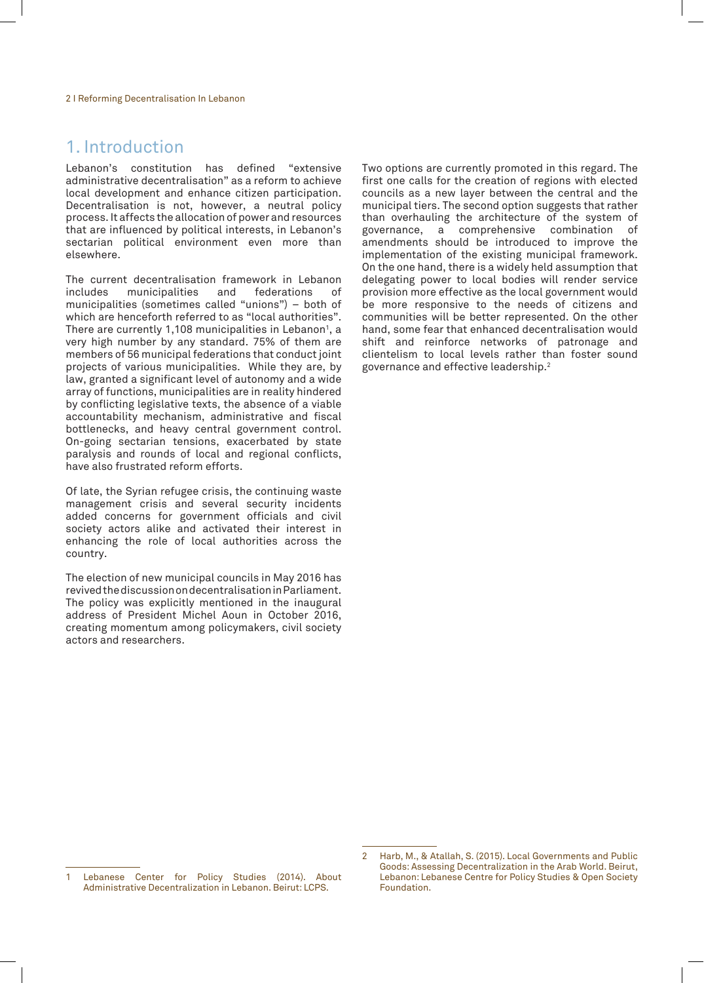## 1. Introduction

Lebanon's constitution has defined "extensive administrative decentralisation" as a reform to achieve local development and enhance citizen participation. Decentralisation is not, however, a neutral policy process. It affects the allocation of power and resources that are influenced by political interests, in Lebanon's sectarian political environment even more than elsewhere.

The current decentralisation framework in Lebanon<br>includes municipalities and federations of includes municipalities and federations municipalities (sometimes called "unions") – both of which are henceforth referred to as "local authorities". There are currently 1,108 municipalities in Lebanon $^{\textrm{\text{!}}}, \,$ a very high number by any standard. 75% of them are members of 56 municipal federations that conduct joint projects of various municipalities. While they are, by law, granted a significant level of autonomy and a wide array of functions, municipalities are in reality hindered by conflicting legislative texts, the absence of a viable accountability mechanism, administrative and fiscal bottlenecks, and heavy central government control. On-going sectarian tensions, exacerbated by state paralysis and rounds of local and regional conflicts, have also frustrated reform efforts.

Of late, the Syrian refugee crisis, the continuing waste management crisis and several security incidents added concerns for government officials and civil society actors alike and activated their interest in enhancing the role of local authorities across the country.

The election of new municipal councils in May 2016 has revived the discussion on decentralisation in Parliament. The policy was explicitly mentioned in the inaugural address of President Michel Aoun in October 2016, creating momentum among policymakers, civil society actors and researchers.

Two options are currently promoted in this regard. The first one calls for the creation of regions with elected councils as a new layer between the central and the municipal tiers. The second option suggests that rather than overhauling the architecture of the system of governance, a comprehensive combination of amendments should be introduced to improve the implementation of the existing municipal framework. On the one hand, there is a widely held assumption that delegating power to local bodies will render service provision more effective as the local government would be more responsive to the needs of citizens and communities will be better represented. On the other hand, some fear that enhanced decentralisation would shift and reinforce networks of patronage and clientelism to local levels rather than foster sound governance and effective leadership.2

Lebanese Center for Policy Studies (2014). About Administrative Decentralization in Lebanon. Beirut: LCPS.

<sup>2</sup> Harb, M., & Atallah, S. (2015). Local Governments and Public Goods: Assessing Decentralization in the Arab World. Beirut, Lebanon: Lebanese Centre for Policy Studies & Open Society Foundation.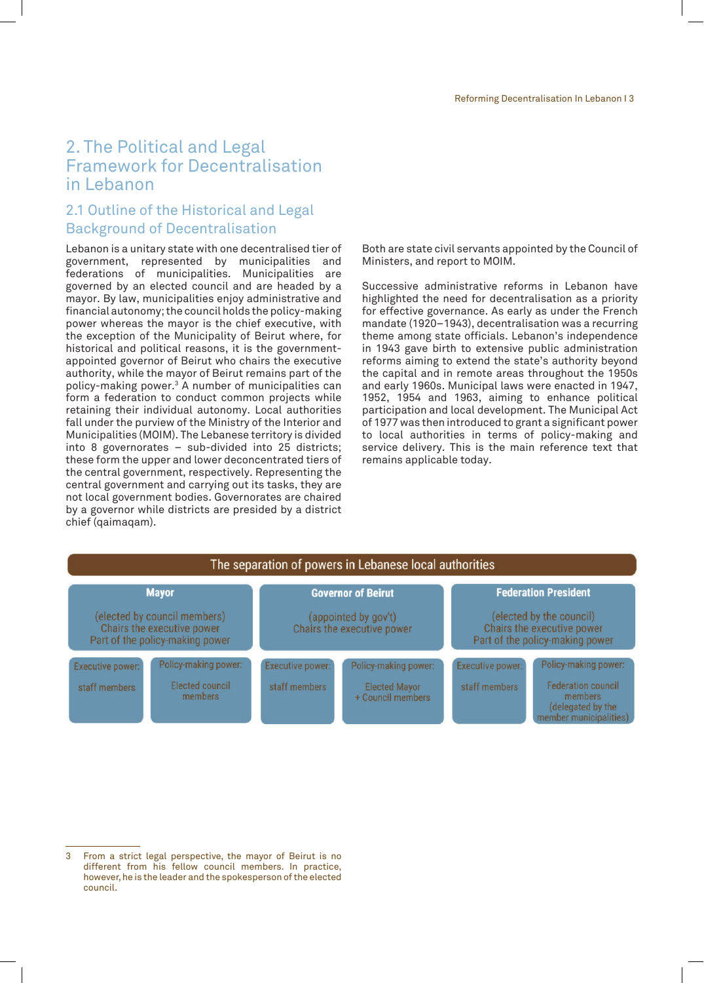## 2. The Political and Legal Framework for Decentralisation in Lebanon

## 2.1 Outline of the Historical and Legal Background of Decentralisation

Lebanon is a unitary state with one decentralised tier of government, represented by municipalities and federations of municipalities. Municipalities are governed by an elected council and are headed by a mayor. By law, municipalities enjoy administrative and financial autonomy; the council holds the policy-making power whereas the mayor is the chief executive, with the exception of the Municipality of Beirut where, for historical and political reasons, it is the governmentappointed governor of Beirut who chairs the executive authority, while the mayor of Beirut remains part of the policy-making power.3 A number of municipalities can form a federation to conduct common projects while retaining their individual autonomy. Local authorities fall under the purview of the Ministry of the Interior and Municipalities (MOIM). The Lebanese territory is divided into 8 governorates – sub-divided into 25 districts; these form the upper and lower deconcentrated tiers of the central government, respectively. Representing the central government and carrying out its tasks, they are not local government bodies. Governorates are chaired by a governor while districts are presided by a district chief (qaimaqam).

Both are state civil servants appointed by the Council of Ministers, and report to MOIM.

Successive administrative reforms in Lebanon have highlighted the need for decentralisation as a priority for effective governance. As early as under the French mandate (1920–1943), decentralisation was a recurring theme among state officials. Lebanon's independence in 1943 gave birth to extensive public administration reforms aiming to extend the state's authority beyond the capital and in remote areas throughout the 1950s and early 1960s. Municipal laws were enacted in 1947, 1952, 1954 and 1963, aiming to enhance political participation and local development. The Municipal Act of 1977 was then introduced to grant a significant power to local authorities in terms of policy-making and service delivery. This is the main reference text that remains applicable today.

| The separation of powers in Lebanese local authorities                                        |                                                    |                                                    |                                                                   |                                                                                           |                                                                                                      |
|-----------------------------------------------------------------------------------------------|----------------------------------------------------|----------------------------------------------------|-------------------------------------------------------------------|-------------------------------------------------------------------------------------------|------------------------------------------------------------------------------------------------------|
| <b>Mayor</b>                                                                                  |                                                    | <b>Governor of Beirut</b>                          |                                                                   | <b>Federation President</b>                                                               |                                                                                                      |
| (elected by council members)<br>Chairs the executive power<br>Part of the policy-making power |                                                    | (appointed by gov't)<br>Chairs the executive power |                                                                   | (elected by the council)<br>Chairs the executive power<br>Part of the policy-making power |                                                                                                      |
| <b>Executive power:</b><br>staff members                                                      | Policy-making power:<br>Elected council<br>members | <b>Executive power:</b><br>staff members           | Policy-making power:<br><b>Elected Mayor</b><br>+ Council members | <b>Executive power:</b><br>staff members                                                  | Policy-making power:<br>Federation council<br>members<br>(delegated by the<br>member municipalities) |

<sup>3</sup> From a strict legal perspective, the mayor of Beirut is no different from his fellow council members. In practice, however, he is the leader and the spokesperson of the elected council.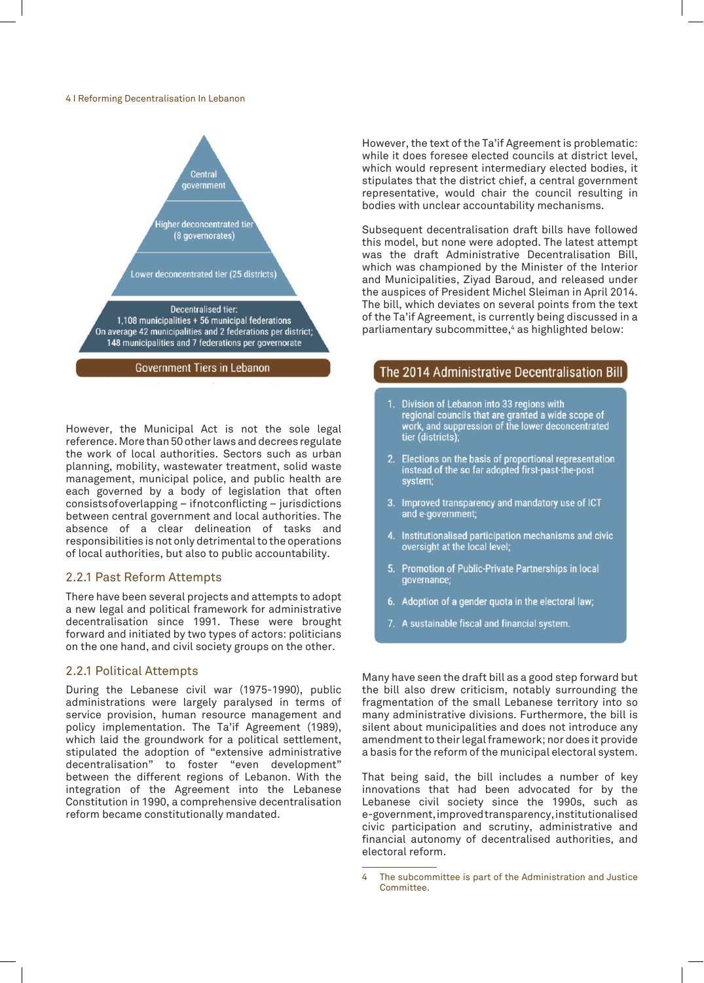4 I Reforming Decentralisation In Lebanon



However, the Municipal Act is not the sole legal reference. More than 50 other laws and decrees regulate the work of local authorities. Sectors such as urban planning, mobility, wastewater treatment, solid waste management, municipal police, and public health are each governed by a body of legislation that often consists of overlapping – if not conflicting – jurisdictions between central government and local authorities. The absence of a clear delineation of tasks and responsibilities is not only detrimental to the operations of local authorities, but also to public accountability.

#### 2.2.1 Past Reform Attempts

There have been several projects and attempts to adopt a new legal and political framework for administrative decentralisation since 1991. These were brought forward and initiated by two types of actors: politicians on the one hand, and civil society groups on the other.

#### 2.2.1 Political Attempts

During the Lebanese civil war (1975-1990), public administrations were largely paralysed in terms of service provision, human resource management and policy implementation. The Ta'if Agreement (1989), which laid the groundwork for a political settlement, stipulated the adoption of "extensive administrative decentralisation" to foster "even development" between the different regions of Lebanon. With the integration of the Agreement into the Lebanese Constitution in 1990, a comprehensive decentralisation reform became constitutionally mandated.

However, the text of the Ta'if Agreement is problematic: while it does foresee elected councils at district level, which would represent intermediary elected bodies, it stipulates that the district chief, a central government representative, would chair the council resulting in bodies with unclear accountability mechanisms.

Subsequent decentralisation draft bills have followed this model, but none were adopted. The latest attempt was the draft Administrative Decentralisation Bill, which was championed by the Minister of the Interior and Municipalities, Ziyad Baroud, and released under the auspices of President Michel Sleiman in April 2014. The bill, which deviates on several points from the text of the Ta'if Agreement, is currently being discussed in a parliamentary subcommittee,<sup>4</sup> as highlighted below:

#### The 2014 Administrative Decentralisation Bill

- 1. Division of Lebanon into 33 regions with regional councils that are granted a wide scope of regional councils that are granted a wide scope of<br>work, and suppression of the lower deconcentrated<br>tier (districts);
- 2. Elections on the basis of proportional representation<br>instead of the so far adopted first-past-the-post system;
- 3. Improved transparency and mandatory use of ICT and e-government;
- 4. Institutionalised participation mechanisms and civic oversight at the local level;
- 5. Promotion of Public-Private Partnerships in local governance;
- 6. Adoption of a gender quota in the electoral law;
- 7. A sustainable fiscal and financial system.

Many have seen the draft bill as a good step forward but the bill also drew criticism, notably surrounding the fragmentation of the small Lebanese territory into so many administrative divisions. Furthermore, the bill is silent about municipalities and does not introduce any amendment to their legal framework; nor does it provide a basis for the reform of the municipal electoral system.

That being said, the bill includes a number of key innovations that had been advocated for by the Lebanese civil society since the 1990s, such as e-government, improved transparency, institutionalised civic participation and scrutiny, administrative and financial autonomy of decentralised authorities, and electoral reform.

<sup>4</sup> The subcommittee is part of the Administration and Justice Committee.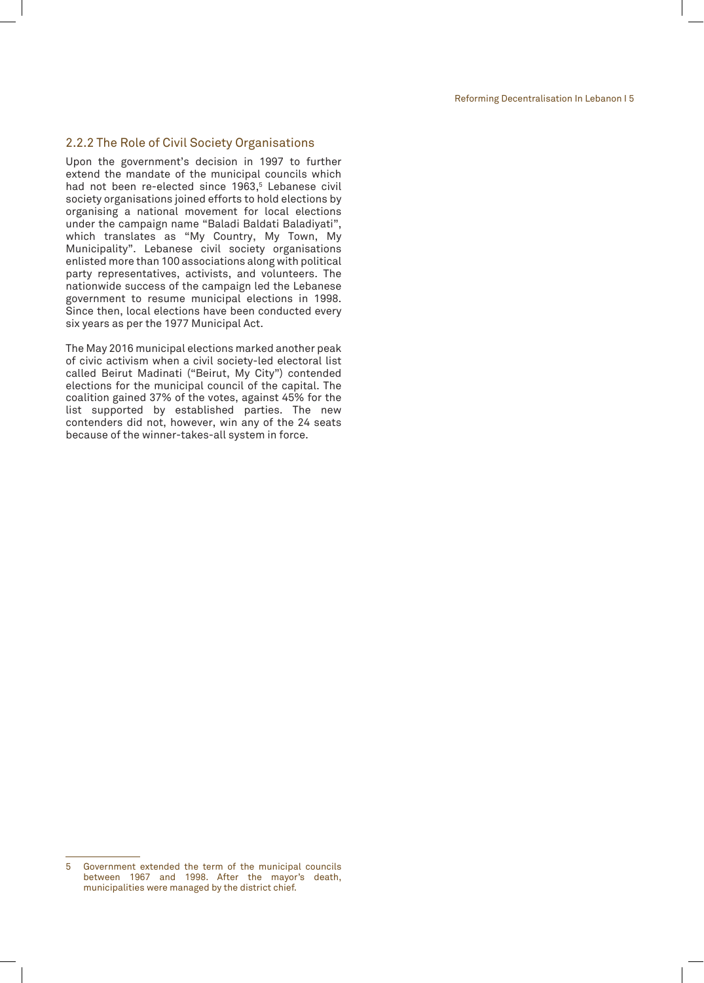#### 2.2.2 The Role of Civil Society Organisations

Upon the government's decision in 1997 to further extend the mandate of the municipal councils which had not been re-elected since 1963,<sup>5</sup> Lebanese civil society organisations joined efforts to hold elections by organising a national movement for local elections under the campaign name "Baladi Baldati Baladiyati", which translates as "My Country, My Town, My Municipality". Lebanese civil society organisations enlisted more than 100 associations along with political party representatives, activists, and volunteers. The nationwide success of the campaign led the Lebanese government to resume municipal elections in 1998. Since then, local elections have been conducted every six years as per the 1977 Municipal Act.

The May 2016 municipal elections marked another peak of civic activism when a civil society-led electoral list called Beirut Madinati ("Beirut, My City") contended elections for the municipal council of the capital. The coalition gained 37% of the votes, against 45% for the list supported by established parties. The new contenders did not, however, win any of the 24 seats because of the winner-takes-all system in force.

<sup>5</sup> Government extended the term of the municipal councils between 1967 and 1998. After the mayor's death, municipalities were managed by the district chief.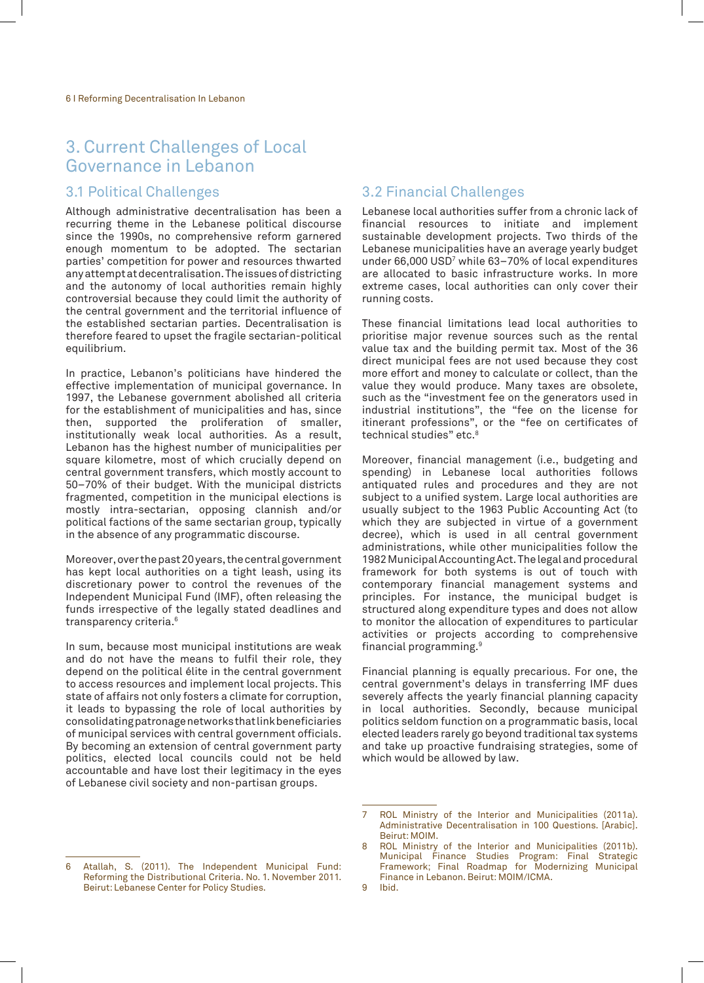## 3. Current Challenges of Local Governance in Lebanon

#### 3.1 Political Challenges

Although administrative decentralisation has been a recurring theme in the Lebanese political discourse since the 1990s, no comprehensive reform garnered enough momentum to be adopted. The sectarian parties' competition for power and resources thwarted any attempt at decentralisation. The issues of districting and the autonomy of local authorities remain highly controversial because they could limit the authority of the central government and the territorial influence of the established sectarian parties. Decentralisation is therefore feared to upset the fragile sectarian-political equilibrium.

In practice, Lebanon's politicians have hindered the effective implementation of municipal governance. In 1997, the Lebanese government abolished all criteria for the establishment of municipalities and has, since then, supported the proliferation of smaller, institutionally weak local authorities. As a result, Lebanon has the highest number of municipalities per square kilometre, most of which crucially depend on central government transfers, which mostly account to 50–70% of their budget. With the municipal districts fragmented, competition in the municipal elections is mostly intra-sectarian, opposing clannish and/or political factions of the same sectarian group, typically in the absence of any programmatic discourse.

Moreover, over the past 20 years, the central government has kept local authorities on a tight leash, using its discretionary power to control the revenues of the Independent Municipal Fund (IMF), often releasing the funds irrespective of the legally stated deadlines and transparency criteria.6

In sum, because most municipal institutions are weak and do not have the means to fulfil their role, they depend on the political élite in the central government to access resources and implement local projects. This state of affairs not only fosters a climate for corruption, it leads to bypassing the role of local authorities by consolidating patronage networks that link beneficiaries of municipal services with central government officials. By becoming an extension of central government party politics, elected local councils could not be held accountable and have lost their legitimacy in the eyes of Lebanese civil society and non-partisan groups.

#### 6 Atallah, S. (2011). The Independent Municipal Fund: Reforming the Distributional Criteria. No. 1. November 2011. Beirut: Lebanese Center for Policy Studies.

#### 3.2 Financial Challenges

Lebanese local authorities suffer from a chronic lack of financial resources to initiate and implement sustainable development projects. Two thirds of the Lebanese municipalities have an average yearly budget under 66,000 USD<sup>7</sup> while 63–70% of local expenditures are allocated to basic infrastructure works. In more extreme cases, local authorities can only cover their running costs.

These financial limitations lead local authorities to prioritise major revenue sources such as the rental value tax and the building permit tax. Most of the 36 direct municipal fees are not used because they cost more effort and money to calculate or collect, than the value they would produce. Many taxes are obsolete, such as the "investment fee on the generators used in industrial institutions", the "fee on the license for itinerant professions", or the "fee on certificates of technical studies" etc.<sup>8</sup>

Moreover, financial management (i.e., budgeting and spending) in Lebanese local authorities follows antiquated rules and procedures and they are not subject to a unified system. Large local authorities are usually subject to the 1963 Public Accounting Act (to which they are subjected in virtue of a government decree), which is used in all central government administrations, while other municipalities follow the 1982 Municipal Accounting Act. The legal and procedural framework for both systems is out of touch with contemporary financial management systems and principles. For instance, the municipal budget is structured along expenditure types and does not allow to monitor the allocation of expenditures to particular activities or projects according to comprehensive financial programming.9

Financial planning is equally precarious. For one, the central government's delays in transferring IMF dues severely affects the yearly financial planning capacity in local authorities. Secondly, because municipal politics seldom function on a programmatic basis, local elected leaders rarely go beyond traditional tax systems and take up proactive fundraising strategies, some of which would be allowed by law.

<sup>7</sup> ROL Ministry of the Interior and Municipalities (2011a). Administrative Decentralisation in 100 Questions. [Arabic]. Beirut: MOIM.

<sup>8</sup> ROL Ministry of the Interior and Municipalities (2011b). Municipal Finance Studies Program: Final Strategic Framework; Final Roadmap for Modernizing Municipal Finance in Lebanon. Beirut: MOIM/ICMA.

<sup>9</sup> Ibid.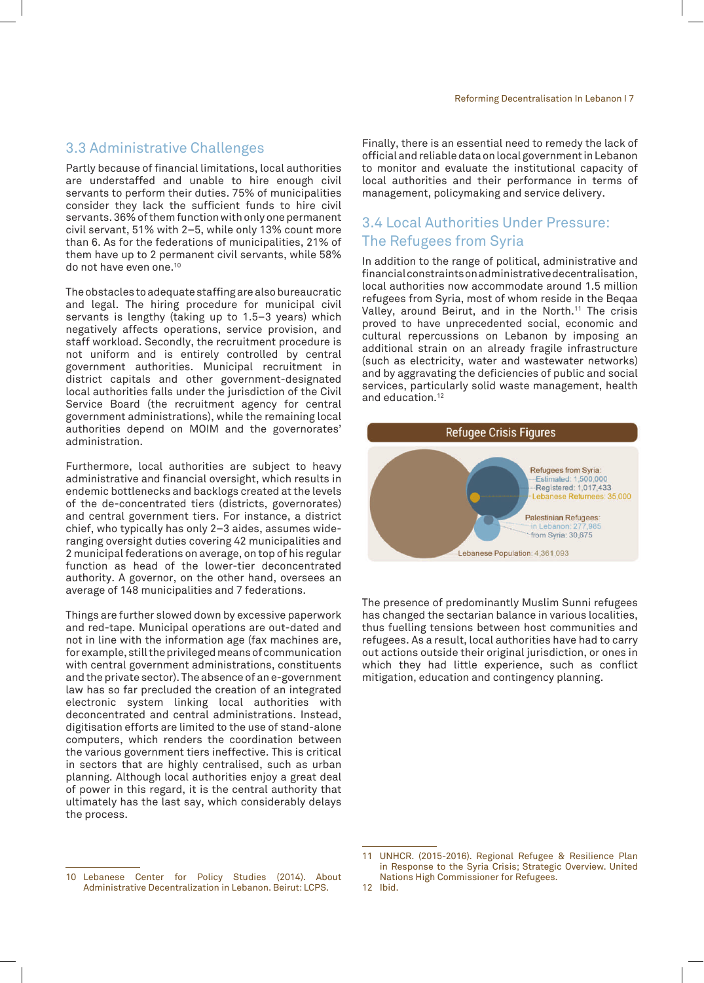#### 3.3 Administrative Challenges

Partly because of financial limitations, local authorities are understaffed and unable to hire enough civil servants to perform their duties. 75% of municipalities consider they lack the sufficient funds to hire civil servants. 36% of them function with only one permanent civil servant, 51% with 2–5, while only 13% count more than 6. As for the federations of municipalities, 21% of them have up to 2 permanent civil servants, while 58% do not have even one.10

The obstacles to adequate staffing are also bureaucratic and legal. The hiring procedure for municipal civil servants is lengthy (taking up to 1.5–3 years) which negatively affects operations, service provision, and staff workload. Secondly, the recruitment procedure is not uniform and is entirely controlled by central government authorities. Municipal recruitment in district capitals and other government-designated local authorities falls under the jurisdiction of the Civil Service Board (the recruitment agency for central government administrations), while the remaining local authorities depend on MOIM and the governorates' administration.

Furthermore, local authorities are subject to heavy administrative and financial oversight, which results in endemic bottlenecks and backlogs created at the levels of the de-concentrated tiers (districts, governorates) and central government tiers. For instance, a district chief, who typically has only 2–3 aides, assumes wideranging oversight duties covering 42 municipalities and 2 municipal federations on average, on top of his regular function as head of the lower-tier deconcentrated authority. A governor, on the other hand, oversees an average of 148 municipalities and 7 federations.

Things are further slowed down by excessive paperwork and red-tape. Municipal operations are out-dated and not in line with the information age (fax machines are, for example, still the privileged means of communication with central government administrations, constituents and the private sector). The absence of an e-government law has so far precluded the creation of an integrated electronic system linking local authorities with deconcentrated and central administrations. Instead, digitisation efforts are limited to the use of stand-alone computers, which renders the coordination between the various government tiers ineffective. This is critical in sectors that are highly centralised, such as urban planning. Although local authorities enjoy a great deal of power in this regard, it is the central authority that ultimately has the last say, which considerably delays the process.

Finally, there is an essential need to remedy the lack of official and reliable data on local government in Lebanon to monitor and evaluate the institutional capacity of local authorities and their performance in terms of management, policymaking and service delivery.

### 3.4 Local Authorities Under Pressure: The Refugees from Syria

In addition to the range of political, administrative and financial constraints on administrative decentralisation, local authorities now accommodate around 1.5 million refugees from Syria, most of whom reside in the Beqaa Valley, around Beirut, and in the North.<sup>11</sup> The crisis proved to have unprecedented social, economic and cultural repercussions on Lebanon by imposing an additional strain on an already fragile infrastructure (such as electricity, water and wastewater networks) and by aggravating the deficiencies of public and social services, particularly solid waste management, health and education.<sup>12</sup>



The presence of predominantly Muslim Sunni refugees has changed the sectarian balance in various localities, thus fuelling tensions between host communities and refugees. As a result, local authorities have had to carry out actions outside their original jurisdiction, or ones in which they had little experience, such as conflict mitigation, education and contingency planning.

<sup>11</sup> UNHCR. (2015-2016). Regional Refugee & Resilience Plan in Response to the Syria Crisis; Strategic Overview. United Nations High Commissioner for Refugees. 12 Ibid.

<sup>10</sup> Lebanese Center for Policy Studies (2014). About Administrative Decentralization in Lebanon. Beirut: LCPS.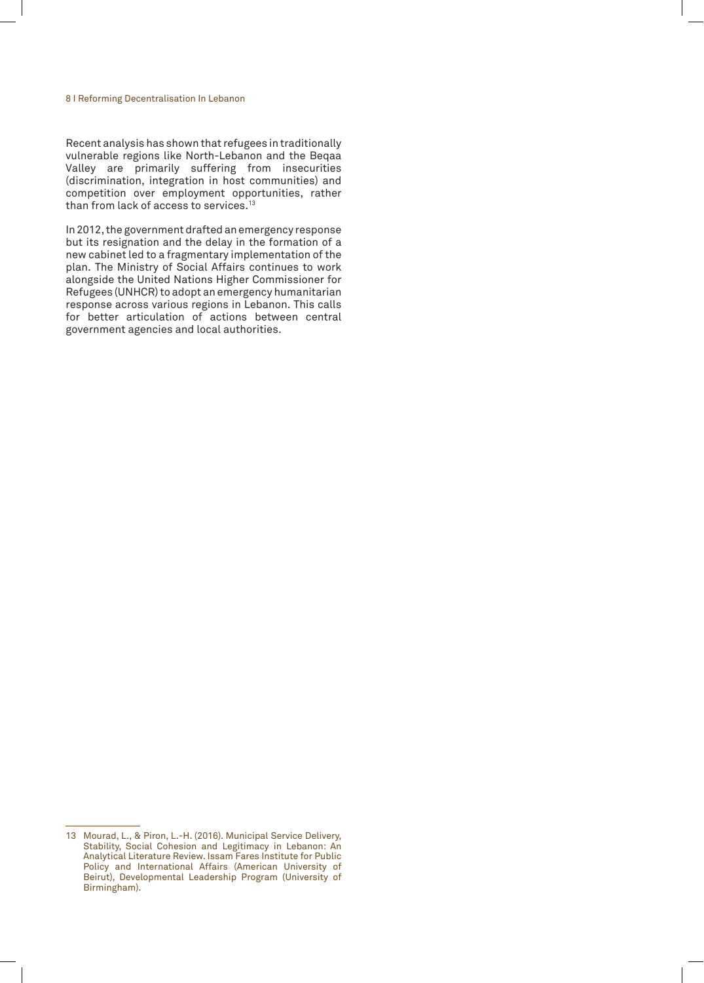#### 8 I Reforming Decentralisation In Lebanon

Recent analysis has shown that refugees in traditionally vulnerable regions like North-Lebanon and the Beqaa Valley are primarily suffering from insecurities (discrimination, integration in host communities) and competition over employment opportunities, rather than from lack of access to services.13

In 2012, the government drafted an emergency response but its resignation and the delay in the formation of a new cabinet led to a fragmentary implementation of the plan. The Ministry of Social Affairs continues to work alongside the United Nations Higher Commissioner for Refugees (UNHCR) to adopt an emergency humanitarian response across various regions in Lebanon. This calls for better articulation of actions between central government agencies and local authorities.

<sup>13</sup> Mourad, L., & Piron, L.-H. (2016). Municipal Service Delivery, Stability, Social Cohesion and Legitimacy in Lebanon: An Analytical Literature Review. Issam Fares Institute for Public Policy and International Affairs (American University of Beirut), Developmental Leadership Program (University of Birmingham).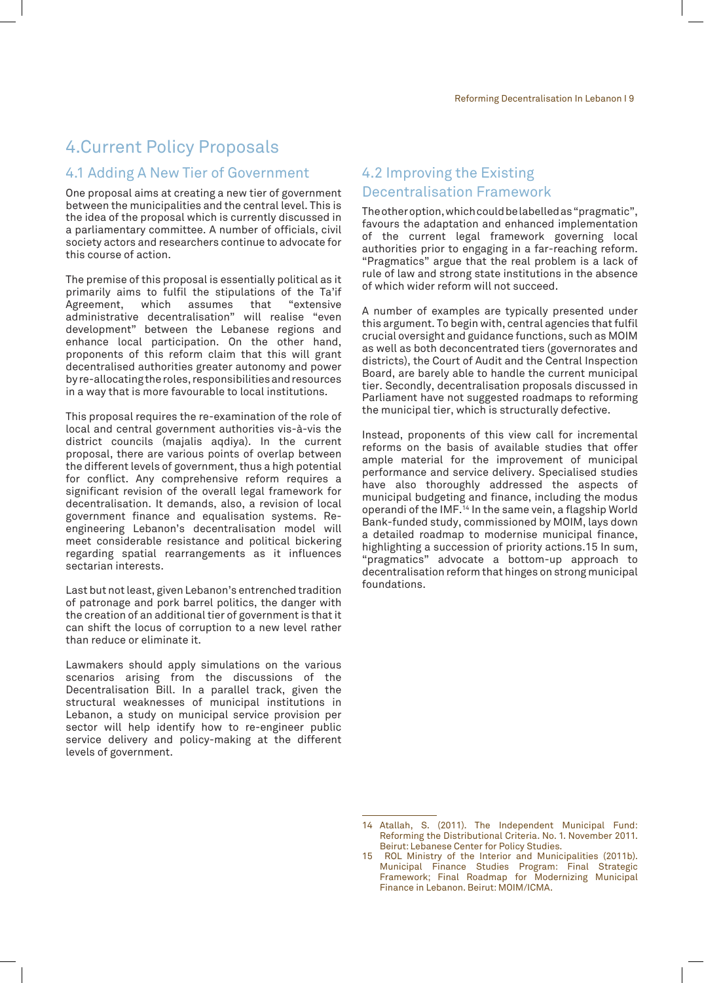## 4.Current Policy Proposals

#### 4.1 Adding A New Tier of Government

One proposal aims at creating a new tier of government between the municipalities and the central level. This is the idea of the proposal which is currently discussed in a parliamentary committee. A number of officials, civil society actors and researchers continue to advocate for this course of action.

The premise of this proposal is essentially political as it primarily aims to fulfil the stipulations of the Ta'if Agreement, which assumes that "extensive administrative decentralisation" will realise "even development" between the Lebanese regions and enhance local participation. On the other hand, proponents of this reform claim that this will grant decentralised authorities greater autonomy and power by re-allocating the roles, responsibilities and resources in a way that is more favourable to local institutions.

This proposal requires the re-examination of the role of local and central government authorities vis-à-vis the district councils (majalis aqdiya). In the current proposal, there are various points of overlap between the different levels of government, thus a high potential for conflict. Any comprehensive reform requires a significant revision of the overall legal framework for decentralisation. It demands, also, a revision of local government finance and equalisation systems. Reengineering Lebanon's decentralisation model will meet considerable resistance and political bickering regarding spatial rearrangements as it influences sectarian interests.

Last but not least, given Lebanon's entrenched tradition of patronage and pork barrel politics, the danger with the creation of an additional tier of government is that it can shift the locus of corruption to a new level rather than reduce or eliminate it.

Lawmakers should apply simulations on the various scenarios arising from the discussions of the Decentralisation Bill. In a parallel track, given the structural weaknesses of municipal institutions in Lebanon, a study on municipal service provision per sector will help identify how to re-engineer public service delivery and policy-making at the different levels of government.

## 4.2 Improving the Existing Decentralisation Framework

The other option, which could be labelled as "pragmatic", favours the adaptation and enhanced implementation of the current legal framework governing local authorities prior to engaging in a far-reaching reform. "Pragmatics" argue that the real problem is a lack of rule of law and strong state institutions in the absence of which wider reform will not succeed.

A number of examples are typically presented under this argument. To begin with, central agencies that fulfil crucial oversight and guidance functions, such as MOIM as well as both deconcentrated tiers (governorates and districts), the Court of Audit and the Central Inspection Board, are barely able to handle the current municipal tier. Secondly, decentralisation proposals discussed in Parliament have not suggested roadmaps to reforming the municipal tier, which is structurally defective.

Instead, proponents of this view call for incremental reforms on the basis of available studies that offer ample material for the improvement of municipal performance and service delivery. Specialised studies have also thoroughly addressed the aspects of municipal budgeting and finance, including the modus operandi of the IMF.14 In the same vein, a flagship World Bank-funded study, commissioned by MOIM, lays down a detailed roadmap to modernise municipal finance, highlighting a succession of priority actions.15 In sum, "pragmatics" advocate a bottom-up approach to decentralisation reform that hinges on strong municipal foundations.

<sup>14</sup> Atallah, S. (2011). The Independent Municipal Fund: Reforming the Distributional Criteria. No. 1. November 2011. Beirut: Lebanese Center for Policy Studies.

<sup>15</sup> ROL Ministry of the Interior and Municipalities (2011b). Municipal Finance Studies Program: Final Strategic Framework; Final Roadmap for Modernizing Municipal Finance in Lebanon. Beirut: MOIM/ICMA.